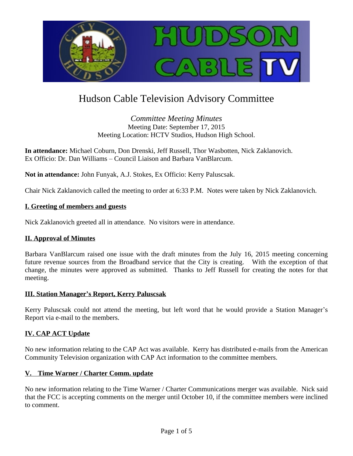

# Hudson Cable Television Advisory Committee

*Committee Meeting Minutes* Meeting Date: September 17, 2015 Meeting Location: HCTV Studios, Hudson High School.

**In attendance:** Michael Coburn, Don Drenski, Jeff Russell, Thor Wasbotten, Nick Zaklanovich. Ex Officio: Dr. Dan Williams – Council Liaison and Barbara VanBlarcum.

**Not in attendance:** John Funyak, A.J. Stokes, Ex Officio: Kerry Paluscsak.

Chair Nick Zaklanovich called the meeting to order at 6:33 P.M. Notes were taken by Nick Zaklanovich.

#### **I. Greeting of members and guests**

Nick Zaklanovich greeted all in attendance. No visitors were in attendance.

## **II. Approval of Minutes**

Barbara VanBlarcum raised one issue with the draft minutes from the July 16, 2015 meeting concerning future revenue sources from the Broadband service that the City is creating. With the exception of that change, the minutes were approved as submitted. Thanks to Jeff Russell for creating the notes for that meeting.

#### **III. Station Manager's Report, Kerry Paluscsak**

Kerry Paluscsak could not attend the meeting, but left word that he would provide a Station Manager's Report via e-mail to the members.

## **IV. CAP ACT Update**

No new information relating to the CAP Act was available. Kerry has distributed e-mails from the American Community Television organization with CAP Act information to the committee members.

#### **V. Time Warner / Charter Comm. update**

No new information relating to the Time Warner / Charter Communications merger was available. Nick said that the FCC is accepting comments on the merger until October 10, if the committee members were inclined to comment.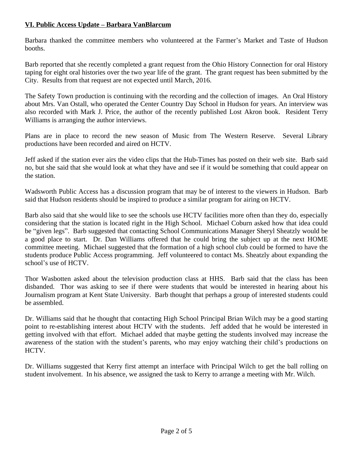# **VI. Public Access Update – Barbara VanBlarcum**

Barbara thanked the committee members who volunteered at the Farmer's Market and Taste of Hudson booths.

Barb reported that she recently completed a grant request from the Ohio History Connection for oral History taping for eight oral histories over the two year life of the grant. The grant request has been submitted by the City. Results from that request are not expected until March, 2016.

The Safety Town production is continuing with the recording and the collection of images. An Oral History about Mrs. Van Ostall, who operated the Center Country Day School in Hudson for years. An interview was also recorded with Mark J. Price, the author of the recently published Lost Akron book. Resident Terry Williams is arranging the author interviews.

Plans are in place to record the new season of Music from The Western Reserve. Several Library productions have been recorded and aired on HCTV.

Jeff asked if the station ever airs the video clips that the Hub-Times has posted on their web site. Barb said no, but she said that she would look at what they have and see if it would be something that could appear on the station.

Wadsworth Public Access has a discussion program that may be of interest to the viewers in Hudson. Barb said that Hudson residents should be inspired to produce a similar program for airing on HCTV.

Barb also said that she would like to see the schools use HCTV facilities more often than they do, especially considering that the station is located right in the High School. Michael Coburn asked how that idea could be "given legs". Barb suggested that contacting School Communications Manager Sheryl Sheatzly would be a good place to start. Dr. Dan Williams offered that he could bring the subject up at the next HOME committee meeting. Michael suggested that the formation of a high school club could be formed to have the students produce Public Access programming. Jeff volunteered to contact Ms. Sheatzly about expanding the school's use of HCTV.

Thor Wasbotten asked about the television production class at HHS. Barb said that the class has been disbanded. Thor was asking to see if there were students that would be interested in hearing about his Journalism program at Kent State University. Barb thought that perhaps a group of interested students could be assembled.

Dr. Williams said that he thought that contacting High School Principal Brian Wilch may be a good starting point to re-establishing interest about HCTV with the students. Jeff added that he would be interested in getting involved with that effort. Michael added that maybe getting the students involved may increase the awareness of the station with the student's parents, who may enjoy watching their child's productions on HCTV.

Dr. Williams suggested that Kerry first attempt an interface with Principal Wilch to get the ball rolling on student involvement. In his absence, we assigned the task to Kerry to arrange a meeting with Mr. Wilch.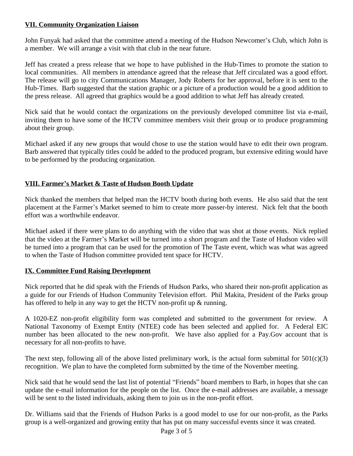# **VII. Community Organization Liaison**

John Funyak had asked that the committee attend a meeting of the Hudson Newcomer's Club, which John is a member. We will arrange a visit with that club in the near future.

Jeff has created a press release that we hope to have published in the Hub-Times to promote the station to local communities. All members in attendance agreed that the release that Jeff circulated was a good effort. The release will go to city Communications Manager, Jody Roberts for her approval, before it is sent to the Hub-Times. Barb suggested that the station graphic or a picture of a production would be a good addition to the press release. All agreed that graphics would be a good addition to what Jeff has already created.

Nick said that he would contact the organizations on the previously developed committee list via e-mail, inviting them to have some of the HCTV committee members visit their group or to produce programming about their group.

Michael asked if any new groups that would chose to use the station would have to edit their own program. Barb answered that typically titles could be added to the produced program, but extensive editing would have to be performed by the producing organization.

# **VIII. Farmer's Market & Taste of Hudson Booth Update**

Nick thanked the members that helped man the HCTV booth during both events. He also said that the tent placement at the Farmer's Market seemed to him to create more passer-by interest. Nick felt that the booth effort was a worthwhile endeavor.

Michael asked if there were plans to do anything with the video that was shot at those events. Nick replied that the video at the Farmer's Market will be turned into a short program and the Taste of Hudson video will be turned into a program that can be used for the promotion of The Taste event, which was what was agreed to when the Taste of Hudson committee provided tent space for HCTV.

## **IX. Committee Fund Raising Development**

Nick reported that he did speak with the Friends of Hudson Parks, who shared their non-profit application as a guide for our Friends of Hudson Community Television effort. Phil Makita, President of the Parks group has offered to help in any way to get the HCTV non-profit up & running.

A 1020-EZ non-profit eligibility form was completed and submitted to the government for review. A National Taxonomy of Exempt Entity (NTEE) code has been selected and applied for. A Federal EIC number has been allocated to the new non-profit. We have also applied for a Pay.Gov account that is necessary for all non-profits to have.

The next step, following all of the above listed preliminary work, is the actual form submittal for  $501(c)(3)$ recognition. We plan to have the completed form submitted by the time of the November meeting.

Nick said that he would send the last list of potential "Friends" board members to Barb, in hopes that she can update the e-mail information for the people on the list. Once the e-mail addresses are available, a message will be sent to the listed individuals, asking them to join us in the non-profit effort.

Dr. Williams said that the Friends of Hudson Parks is a good model to use for our non-profit, as the Parks group is a well-organized and growing entity that has put on many successful events since it was created.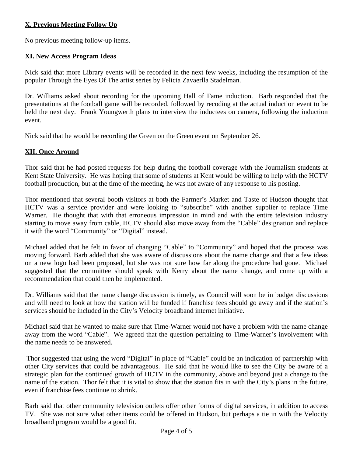# **X. Previous Meeting Follow Up**

No previous meeting follow-up items.

# **XI. New Access Program Ideas**

Nick said that more Library events will be recorded in the next few weeks, including the resumption of the popular Through the Eyes Of The artist series by Felicia Zavaerlla Stadelman.

Dr. Williams asked about recording for the upcoming Hall of Fame induction. Barb responded that the presentations at the football game will be recorded, followed by recoding at the actual induction event to be held the next day. Frank Youngwerth plans to interview the inductees on camera, following the induction event.

Nick said that he would be recording the Green on the Green event on September 26.

## **XII. Once Around**

Thor said that he had posted requests for help during the football coverage with the Journalism students at Kent State University. He was hoping that some of students at Kent would be willing to help with the HCTV football production, but at the time of the meeting, he was not aware of any response to his posting.

Thor mentioned that several booth visitors at both the Farmer's Market and Taste of Hudson thought that HCTV was a service provider and were looking to "subscribe" with another supplier to replace Time Warner. He thought that with that erroneous impression in mind and with the entire television industry starting to move away from cable, HCTV should also move away from the "Cable" designation and replace it with the word "Community" or "Digital" instead.

Michael added that he felt in favor of changing "Cable" to "Community" and hoped that the process was moving forward. Barb added that she was aware of discussions about the name change and that a few ideas on a new logo had been proposed, but she was not sure how far along the procedure had gone. Michael suggested that the committee should speak with Kerry about the name change, and come up with a recommendation that could then be implemented.

Dr. Williams said that the name change discussion is timely, as Council will soon be in budget discussions and will need to look at how the station will be funded if franchise fees should go away and if the station's services should be included in the City's Velocity broadband internet initiative.

Michael said that he wanted to make sure that Time-Warner would not have a problem with the name change away from the word "Cable". We agreed that the question pertaining to Time-Warner's involvement with the name needs to be answered.

Thor suggested that using the word "Digital" in place of "Cable" could be an indication of partnership with other City services that could be advantageous. He said that he would like to see the City be aware of a strategic plan for the continued growth of HCTV in the community, above and beyond just a change to the name of the station. Thor felt that it is vital to show that the station fits in with the City's plans in the future, even if franchise fees continue to shrink.

Barb said that other community television outlets offer other forms of digital services, in addition to access TV. She was not sure what other items could be offered in Hudson, but perhaps a tie in with the Velocity broadband program would be a good fit.